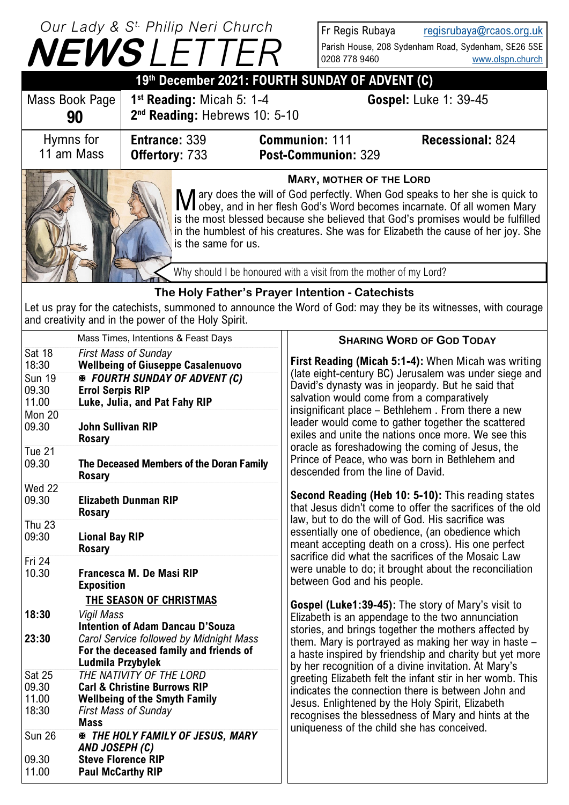# **NEWS** *LETTER Our Lady & S t. Philip Neri Church*

Sun 26 *THE HOLY FAMILY OF JESUS, MARY* 

*AND JOSEPH (C)*

09.30 **Steve Florence RIP** 11.00 **Paul McCarthy RIP**

Fr Regis Rubaya [regisrubaya@rcaos.org.uk](mailto:regisrubaya@rcaos.org.uk) Parish House, 208 Sydenham Road, Sydenham, SE26 5SE 0208 778 9460 [www.olspn.church](http://www.olspn.church)

|                                                    |                                                                                                                                                           | <b>IVEVVƏ</b> LETIEN                                                                                                                                                                                     |                                                                                                                                                                                                                                                                          | 0208 778 9460                                                                                                                                                                                                                                                                                                                                     | www.olspn.church                                                                                                                                                                                                                                                                                                                |  |  |
|----------------------------------------------------|-----------------------------------------------------------------------------------------------------------------------------------------------------------|----------------------------------------------------------------------------------------------------------------------------------------------------------------------------------------------------------|--------------------------------------------------------------------------------------------------------------------------------------------------------------------------------------------------------------------------------------------------------------------------|---------------------------------------------------------------------------------------------------------------------------------------------------------------------------------------------------------------------------------------------------------------------------------------------------------------------------------------------------|---------------------------------------------------------------------------------------------------------------------------------------------------------------------------------------------------------------------------------------------------------------------------------------------------------------------------------|--|--|
| 19th December 2021: FOURTH SUNDAY OF ADVENT (C)    |                                                                                                                                                           |                                                                                                                                                                                                          |                                                                                                                                                                                                                                                                          |                                                                                                                                                                                                                                                                                                                                                   |                                                                                                                                                                                                                                                                                                                                 |  |  |
| Mass Book Page                                     | 90                                                                                                                                                        | $1st$ Reading: Micah 5: 1-4<br>2 <sup>nd</sup> Reading: Hebrews 10: 5-10                                                                                                                                 |                                                                                                                                                                                                                                                                          |                                                                                                                                                                                                                                                                                                                                                   | <b>Gospel: Luke 1: 39-45</b>                                                                                                                                                                                                                                                                                                    |  |  |
| Hymns for<br>11 am Mass                            |                                                                                                                                                           | <b>Entrance: 339</b><br>Offertory: 733                                                                                                                                                                   |                                                                                                                                                                                                                                                                          | <b>Communion: 111</b><br>Post-Communion: 329                                                                                                                                                                                                                                                                                                      | <b>Recessional: 824</b>                                                                                                                                                                                                                                                                                                         |  |  |
|                                                    |                                                                                                                                                           | is the same for us.                                                                                                                                                                                      |                                                                                                                                                                                                                                                                          | <b>MARY, MOTHER OF THE LORD</b>                                                                                                                                                                                                                                                                                                                   | M ary does the will of God perfectly. When God speaks to her she is quick to Ner obey, and in her flesh God's Word becomes incarnate. Of all women Mary<br>is the most blessed because she believed that God's promises would be fulfilled<br>in the humblest of his creatures. She was for Elizabeth the cause of her joy. She |  |  |
|                                                    |                                                                                                                                                           |                                                                                                                                                                                                          |                                                                                                                                                                                                                                                                          | Why should I be honoured with a visit from the mother of my Lord?                                                                                                                                                                                                                                                                                 |                                                                                                                                                                                                                                                                                                                                 |  |  |
|                                                    |                                                                                                                                                           |                                                                                                                                                                                                          |                                                                                                                                                                                                                                                                          | The Holy Father's Prayer Intention - Catechists                                                                                                                                                                                                                                                                                                   |                                                                                                                                                                                                                                                                                                                                 |  |  |
|                                                    |                                                                                                                                                           | and creativity and in the power of the Holy Spirit.                                                                                                                                                      |                                                                                                                                                                                                                                                                          |                                                                                                                                                                                                                                                                                                                                                   | Let us pray for the catechists, summoned to announce the Word of God: may they be its witnesses, with courage                                                                                                                                                                                                                   |  |  |
|                                                    |                                                                                                                                                           | Mass Times, Intentions & Feast Days                                                                                                                                                                      |                                                                                                                                                                                                                                                                          |                                                                                                                                                                                                                                                                                                                                                   | <b>SHARING WORD OF GOD TODAY</b>                                                                                                                                                                                                                                                                                                |  |  |
| Sat 18<br>18:30<br><b>Sun 19</b><br>09.30<br>11.00 | <b>Errol Serpis RIP</b>                                                                                                                                   | <b>First Mass of Sunday</b><br><b>Wellbeing of Giuseppe Casalenuovo</b><br><b>※ FOURTH SUNDAY OF ADVENT (C)</b><br>Luke, Julia, and Pat Fahy RIP                                                         |                                                                                                                                                                                                                                                                          | First Reading (Micah 5:1-4): When Micah was writing<br>(late eight-century BC) Jerusalem was under siege and<br>David's dynasty was in jeopardy. But he said that<br>salvation would come from a comparatively                                                                                                                                    |                                                                                                                                                                                                                                                                                                                                 |  |  |
| <b>Mon 20</b><br>09.30<br>Tue 21<br>09.30          | <b>Rosary</b><br><b>Rosary</b>                                                                                                                            | <b>John Sullivan RIP</b><br>The Deceased Members of the Doran Family                                                                                                                                     |                                                                                                                                                                                                                                                                          | insignificant place – Bethlehem. From there a new<br>leader would come to gather together the scattered<br>exiles and unite the nations once more. We see this<br>oracle as foreshadowing the coming of Jesus, the<br>Prince of Peace, who was born in Bethlehem and<br>descended from the line of David.                                         |                                                                                                                                                                                                                                                                                                                                 |  |  |
| <b>Wed 22</b><br>09.30                             | <b>Rosary</b>                                                                                                                                             | <b>Elizabeth Dunman RIP</b>                                                                                                                                                                              |                                                                                                                                                                                                                                                                          | Second Reading (Heb 10: 5-10): This reading states<br>that Jesus didn't come to offer the sacrifices of the old                                                                                                                                                                                                                                   |                                                                                                                                                                                                                                                                                                                                 |  |  |
| <b>Thu 23</b><br>09:30                             | <b>Lional Bay RIP</b><br><b>Rosary</b>                                                                                                                    |                                                                                                                                                                                                          | law, but to do the will of God. His sacrifice was<br>essentially one of obedience, (an obedience which<br>meant accepting death on a cross). His one perfect<br>sacrifice did what the sacrifices of the Mosaic Law                                                      |                                                                                                                                                                                                                                                                                                                                                   |                                                                                                                                                                                                                                                                                                                                 |  |  |
| Fri 24<br>10.30                                    | <b>Exposition</b>                                                                                                                                         | Francesca M. De Masi RIP                                                                                                                                                                                 |                                                                                                                                                                                                                                                                          | were unable to do; it brought about the reconciliation<br>between God and his people.                                                                                                                                                                                                                                                             |                                                                                                                                                                                                                                                                                                                                 |  |  |
| 18:30<br>23:30                                     |                                                                                                                                                           | <b>THE SEASON OF CHRISTMAS</b><br><b>Vigil Mass</b><br><b>Intention of Adam Dancau D'Souza</b><br>Carol Service followed by Midnight Mass<br>For the deceased family and friends of<br>Ludmila Przybylek |                                                                                                                                                                                                                                                                          | <b>Gospel (Luke1:39-45):</b> The story of Mary's visit to<br>Elizabeth is an appendage to the two annunciation<br>stories, and brings together the mothers affected by<br>them. Mary is portrayed as making her way in haste -<br>a haste inspired by friendship and charity but yet more<br>by her recognition of a divine invitation. At Mary's |                                                                                                                                                                                                                                                                                                                                 |  |  |
| Sat 25<br>09.30<br>11.00<br>18:30                  | THE NATIVITY OF THE LORD<br><b>Carl &amp; Christine Burrows RIP</b><br><b>Wellbeing of the Smyth Family</b><br><b>First Mass of Sunday</b><br><b>Mass</b> |                                                                                                                                                                                                          | greeting Elizabeth felt the infant stir in her womb. This<br>indicates the connection there is between John and<br>Jesus. Enlightened by the Holy Spirit, Elizabeth<br>recognises the blessedness of Mary and hints at the<br>uniqueness of the child she has conceived. |                                                                                                                                                                                                                                                                                                                                                   |                                                                                                                                                                                                                                                                                                                                 |  |  |